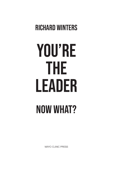## **RICHARD WINTERS**

# **YOU'RE THE LEADER NOW WHAT?**

**MAYO CLINIC PRESS**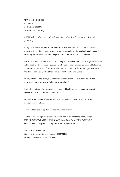MAYO CLINIC PRESS 200 First St. SW Rochester, MN 55905 mcpress.mayoclinic.org

© 2022 Richard Winters and Mayo Foundation for Medical Education and Research (MFMER)

All rights reserved. No part of this publication may be reproduced, stored in a retrieval system, or transmitted, in any form or by any means, electronic, mechanical, photocopying, recording, or otherwise, without the prior written permission of the publisher.

The information in this book is true and complete to the best of our knowledge. Information in this book is offered with no guarantees. The author and publisher disclaim all liability in connection with the use of this book. The views expressed are the author's personal views, and do not necessarily reflect the policies or position of Mayo Clinic.

To stay informed about Mayo Clinic Press, please subscribe to our free e-newsletter at mcpress.mayoclinic.org or follow us on social media.

For bulk sales to employers, member groups, and health-related companies, contact Mayo Clinic at SpecialSalesMayoBooks@mayo.edu.

Proceeds from the sale of Mayo Clinic Press books benefit medical education and research at Mayo Clinic.

Cover and text design by Barbara Aronica-Buck/Booktrix

Grateful acknowledgment is made for permission to reprint the following image: THE ARGYLE SWEATER © 2017 Scott Hilburn. Dist. By ANDREWS MCMEEL SYNDICATION. Reprinted with permission. All rights reserved.

ISBN 978-1-893005-70-9 Library of Congress Control Number: 2022934405 Printed in the United States of America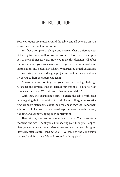## **INTRODUCTION**

Your colleagues are seated around the table, and all eyes are on you as you enter the conference room.

You face a complex challenge, and everyone has a different view of the key factors as well as how to proceed. Nevertheless, it's up to you to move things forward. How you make this decision will affect the way you and your colleagues work together, the success of your organization, and potentially whether you succeed or fail as a leader.

You take your seat and begin, projecting confidence and authority as you address the assembled team.

"Thank you for coming, everyone. We have a big challenge before us and limited time to discuss our options. I'd like to hear from everyone here. What do you think we should do?"

With that, the discussion begins to circle the table, with each person giving their best advice. Several of your colleagues make stirring, eloquent statements about the problem as they see it and their solution of choice. You make sure to keep your eyes on each speaker, nodding and acknowledging each contribution.

Then, finally, the meeting circles back to you. You pause for a moment, and say, "Thank you all for sharing your thoughts. I appreciate your experience, your different perspectives, and your insights. However, after careful consideration, I've come to the conclusion that you're all incorrect. We will proceed with my plan."<sup>1</sup>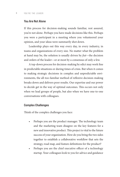#### You Are Not Alone

If this process for decision-making sounds familiar, rest assured, you're not alone. Perhaps you have made decisions like this. Perhaps you were a participant in a meeting where you volunteered your opinion, and your ideas were summarily shot down.

Leadership plays out this way every day, in every industry, in teams and organizations of every size. No matter what the problem at hand may be, the solution is usually driven by *fiat—*the decision and orders of the leader—or at most by a consensus of only a few.

A top-down process for decision-making by edict may work fine in predictable situations or during times of crisis. But when it comes to making strategic decisions in complex and unpredictable environments, the all-too-familiar method of reflexive decision-making breaks down and delivers poor results. Our expertise and our power to decide get in the way of optimal outcomes. This occurs not only when we lead groups of people, but also when we have one-to-one conversations with colleagues.

#### Complex Challenges

Think of the complex challenges you face:

- Perhaps you are the product manager. The technology team and the marketing team disagree on the key features for a new and innovative product. This project is vital to the future success of your organization. How do you bring the two sides together to establish a collaborative workflow that sets the strategy, road map, and feature definitions for the product?
- Perhaps you are the chief executive officer of a technology startup. Your colleagues look to you for advice and guidance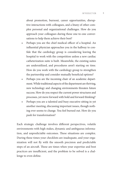about promotion, burnout, career opportunities, disruptive interactions with colleagues, and a litany of other complex personal and organizational challenges. How do you approach your colleagues during these one-to-one conversations to help them achieve their best?

- Perhaps you are the chief medical officer of a hospital. An influential physician approaches you in the hallway to confide that the cardiology group is considering leaving the hospital to work with the competition unless a new cardiac catheterization suite is built. Meanwhile, the existing suites are underutilized, and procedures aren't starting on time. How do you work with the cardiology group to strengthen the partnership and consider mutually beneficial options?
- Perhaps you are the incoming chair of an academic department. While traditional aspects of the department are thriving, new technology and changing environments threaten future success. How do you respect the current power structures and processes, yet move forward with bold and forward thinking?
- Perhaps you are a talented and busy executive sitting in yet another meeting, discussing important issues, though nothing ever seems to change. You feel burned out. How do you push for transformation?

Each strategic challenge involves different perspectives, volatile environments with high stakes, dynamic and ambiguous information, and unpredictable outcomes. These situations are complex. During these times your checklists are inadequate, and your organization will not fly with the smooth precision and predictable steps of an aircraft. These are times when your expertise and best practices are insufficient, and the problem to be solved is a challenge to even define.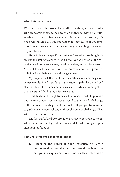#### What This Book Offers

Whether you are the boss and you call all the shots, a servant leader who empowers others to decide, or an individual without a "title" seeking to make a difference as you sit in yet another meeting, this book will provide you specific tactics to improve your effectiveness in one-to-one conversations and as you lead large teams and organizations.

You will learn the specific techniques I use when coaching leaders and facilitating teams at Mayo Clinic.<sup>2</sup> You will draw on the collective wisdom of colleagues, develop leaders, and achieve results. You will learn to lead in a way that decreases burnout, promotes individual well-being, and sparks engagement.

My hope is that this book both entertains you and helps you achieve results. I will introduce you to leadership thinkers, and I will share mistakes I've made and lessons learned while coaching effective leaders and facilitating effective teams.

Read this book through from start to finish, or pick it up to find a tactic or a process you can use as you face the specific challenges of the moment. The chapters of this book will give you frameworks to guide you and your colleagues through complex challenges. They will prompt you to action.

The first half of the book provides tactics for effective leadership, while the second half lays out the framework for addressing complex situations, as follows:

#### Part One: Effective Leadership Tactics

**1. Recognize the Limits of Your Expertise.** You are a decision-making machine. As you move throughout your day, you make quick decisions. This is both a feature and a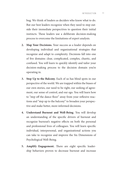bug. We think of leaders as deciders who know what to do. But our best leaders recognize when they need to step outside their immediate perspectives to question their initial instincts. These leaders use a deliberate decision-making process to overcome the limitations of expert analysis.

- **2. Map Your Decisions.** Your success as a leader depends on developing individual and organizational strategies that recognize and adapt to complexity. Decisions fall into one of five domains: clear, complicated, complex, chaotic, and confused. You will learn to quickly identify and tailor your decision-making process to the decision domain you're operating in.
- **3. Step Up to the Balcony.** Each of us has blind spots in our perspective of the world. We are trapped within the biases of our own stories, our need to be right, our seeking of agreement, our sense of control, and our ego. You will learn how to "step off the dance floor" away from your reflexive reactions and "step up to the balcony" to broaden your perspective and make better, more informed decisions.
- **4. Understand Burnout and Well-Being**. You will develop an understanding of the specific drivers of burnout and recognize burnout's negative effects on both the personal and professional lives of colleagues. You will learn specific individual, interpersonal, and organizational actions you can take to recognize and improve the Six Dimensions of Psychological Well-Being.
- **5. Amplify Engagement.** There are eight specific leadership behaviors proven to decrease burnout and increase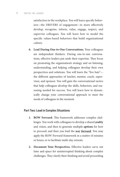satisfaction in the workplace. You will learn specific behaviors—the DRIVERS of engagement—to more effectively develop, recognize, inform, value, engage, respect, and supervise colleagues. You will learn how to model the specific values-based behaviors that build organizational culture.

**6. Lead During One-to-One Conversations.** Your colleagues are independent thinkers. During one-to-one conversations, effective leaders put aside their expertise. They focus on promoting the organization's strategy and on listening, understanding, and helping colleagues develop their own perspectives and solutions. You will learn the "five hats" the different approaches of teacher, mentor, coach, supervisor, and sponsor. You will gain the conversational tactics that help colleagues develop the skills, behaviors, and reasoning needed for success. You will learn how to dynamically change your conversational approach to meet the needs of colleagues in the moment.

#### Part Two: Lead in Complex Situations

- **1. ROW Forward.** This framework addresses complex challenges. You work with colleagues to develop a shared **reality**  and vision, and then to generate multiple **options** for how to proceed; and then you lead the **way forward**. You may apply the ROW Forward framework in a matter of minutes or hours, or to facilitate multi-day retreats.
- **2. Document Your Perspectives.** Effective leaders carve out time and space for uninterrupted thinking about complex challenges. They clarify their thinking and avoid proceeding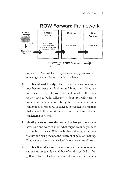

impulsively. You will learn a specific six-step process of recognizing and considering complex challenges.

- **3. Create a Shared Reality.** Effective leaders bring colleagues together to help them look around blind spots. They tap into the experience of those inside and outside of the room as they seek to build collective wisdom. You will learn to use a predictable process to bring the diverse and at times contentious perspectives of colleagues together in a manner that adapts to the context, intensity, and time frame of your challenging decisions.
- **4. Identify Fears and Worries.** You and each of your colleagues have fears and worries about what might occur as you face a complex challenge. Effective leaders shine light on these worries and bring them to the forefront of decision-making. They know that unacknowledged fears undermine efforts.
- **5. Create a Shared Vision.** The mission and values of organizations are frequently stated but often disregarded or forgotten. Effective leaders authentically infuse the mission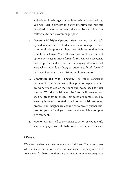and values of their organization into their decision-making. You will learn a process to clarify intention and mitigate perceived risks as you authentically energize and align your colleagues toward a common purpose.

- **6. Generate Multiple Options.** After creating shared reality and vision, effective leaders and their colleagues brainstorm multiple options for how they might respond to their complex challenges. You will learn how to choose the best options for ways to move forward. You will also recognize how to predict and defuse the challenging situations that arise when individuals disagree, attempt to block forward movement, or when the decision is not unanimous.
- **7. Champion the Way Forward.** The most dangerous moment in the decision-making process happens when everyone walks out of the room and heads back to their routine. Will the decision survive? You will learn several specific practices to ensure that tasks are completed, key learning is re-incorporated back into the decision-making process, and insights are channeled to create further success for yourself and your team in the evolving complex environment.
- **8. Now What?** You will convert ideas to action as you identify specific steps you will take to become a more effective leader.

#### A Caveat

We need leaders who are independent thinkers. There are times when a leader needs to make decisions despite the perspectives of colleagues. In these situations, a group's common sense may lack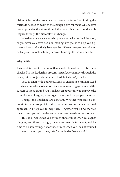vision. A fear of the unknown may prevent a team from finding the fortitude needed to adapt to the changing environment. An effective leader provides the strength and the determination to nudge colleagues through the discomfort of change.

Whether you are a leader who prefers to make the final decision, or you favor collective decision-making, my goal is to help you figure out how to effectively leverage the different perspectives of your colleagues—to look behind your own blind spots—as you decide.

#### Why Lead?

This book is meant to be more than a collection of steps or boxes to check off in the leadership process. Instead, as you move through the pages, think not just about *how* to lead, but also *why* you lead.

Lead to align with a purpose. Lead to engage in a mission. Lead to bring your values to fruition. Seek to increase engagement and the success of those around you. You have an opportunity to improve the lives of your colleagues, your organization, and the people you serve.

Change and challenge are constant. Whether you face a corporate team, a group of investors, or your customers, a structured approach will help you to help them. Together you'll find the way forward and you will be the leader your team needs in the moment.

This book will guide you through those times when colleagues disagree, emotions run high, the environment is turbulent, and it's time to do something. It's for those times when you look at yourself in the mirror and you think, "You're the leader. Now what?"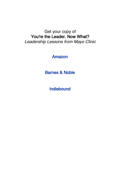## Get your copy of You're the Leader. Now What? Leadership Lessons from Mayo Clinic

### [Amazon](https://www.amazon.com/Youre-Leader-Now-What-Leadership/dp/1893005704/)

[Barnes & Noble](https://www.barnesandnoble.com/w/youre-the-leader-now-what-dr-richard-winters/1141003066)

[Indiebound](https://www.indiebound.org/book/9781893005709)